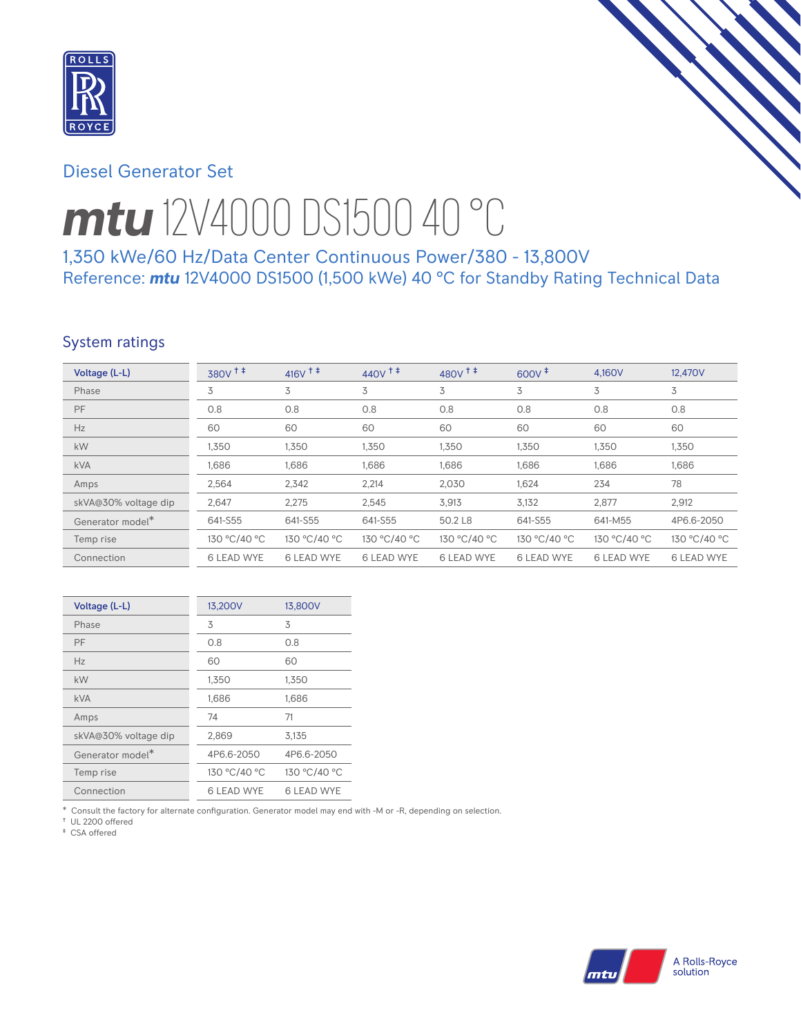

# Diesel Generator Set

# *mtu* 12V4000 DS1500 40 °C

1,350 kWe/60 Hz/Data Center Continuous Power/380 - 13,800V Reference: *mtu* 12V4000 DS1500 (1,500 kWe) 40 °C for Standby Rating Technical Data

# System ratings

| Voltage (L-L)        | $380V$ <sup>++</sup> | $416V$ <sup>++</sup> | $440V$ <sup>++</sup> | $480V$ <sup>++</sup> | $600V^+$          | 4.160V            | 12.470V           |
|----------------------|----------------------|----------------------|----------------------|----------------------|-------------------|-------------------|-------------------|
| Phase                | 3                    | 3                    | 3                    | 3                    | 3                 | 3                 | 3                 |
| PF                   | 0.8                  | 0.8                  | 0.8                  | 0.8                  | 0.8               | 0.8               | 0.8               |
| Hz                   | 60                   | 60                   | 60                   | 60                   | 60                | 60                | 60                |
| kW                   | 1,350                | 1,350                | 1,350                | 1,350                | 1,350             | 1,350             | 1,350             |
| <b>kVA</b>           | 1,686                | 1,686                | 1,686                | 1,686                | 1,686             | 1,686             | 1,686             |
| Amps                 | 2,564                | 2,342                | 2,214                | 2,030                | 1,624             | 234               | 78                |
| skVA@30% voltage dip | 2,647                | 2,275                | 2,545                | 3,913                | 3,132             | 2,877             | 2,912             |
| Generator model*     | 641-S55              | 641-S55              | 641-S55              | 50.2 L8              | 641-S55           | 641-M55           | 4P6.6-2050        |
| Temp rise            | 130 °C/40 °C         | 130 °C/40 °C         | 130 °C/40 °C         | 130 °C/40 °C         | 130 °C/40 °C      | 130 °C/40 °C      | 130 °C/40 °C      |
| Connection           | <b>6 LEAD WYE</b>    | <b>6 LEAD WYE</b>    | <b>6 LEAD WYE</b>    | <b>6 LEAD WYE</b>    | <b>6 LEAD WYE</b> | <b>6 LEAD WYE</b> | <b>6 LEAD WYE</b> |

| Voltage (L-L)        | 13,200V           | 13,800V           |
|----------------------|-------------------|-------------------|
| Phase                | 3                 | 3                 |
| PF                   | 0.8               | 0.8               |
| Hz                   | 60                | 60                |
| kW                   | 1,350             | 1,350             |
| <b>kVA</b>           | 1,686             | 1,686             |
| Amps                 | 74                | 71                |
| skVA@30% voltage dip | 2,869             | 3,135             |
| Generator model*     | 4P6.6-2050        | 4P6.6-2050        |
| Temp rise            | 130 °C/40 °C      | 130 °C/40 °C      |
| Connection           | <b>6 LEAD WYE</b> | <b>6 LEAD WYE</b> |

\* Consult the factory for alternate configuration. Generator model may end with -M or -R, depending on selection.

† UL 2200 offered ‡ CSA offered

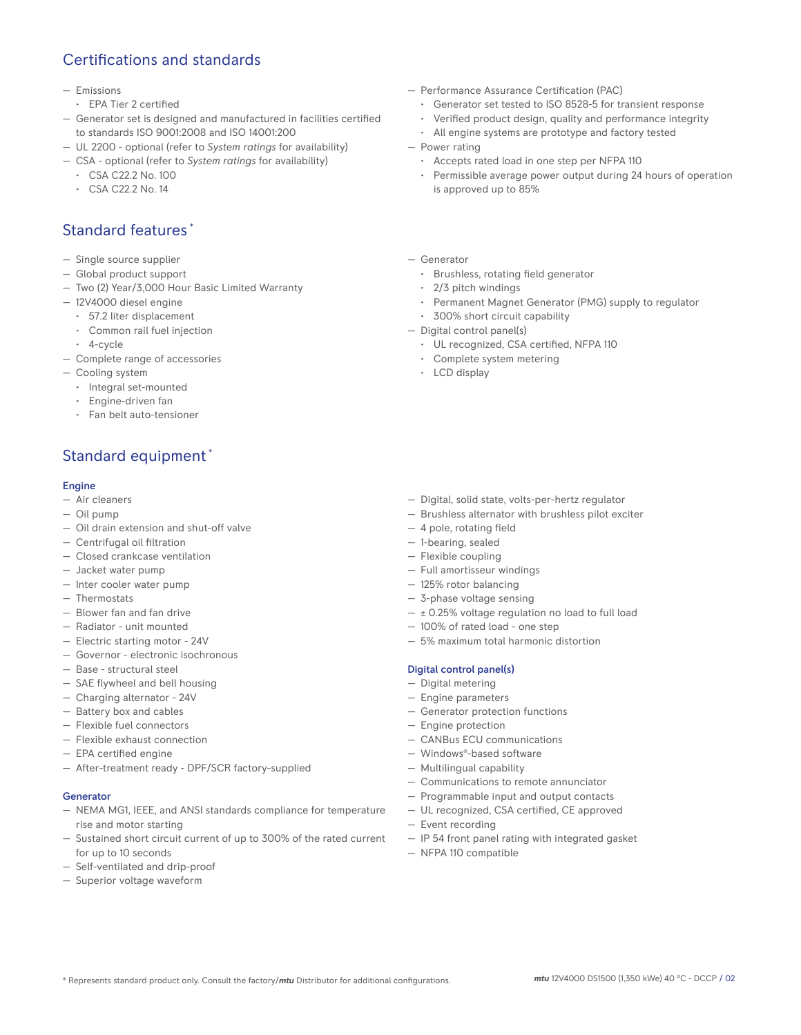# Certifications and standards

### — Emissions

- EPA Tier 2 certified
- Generator set is designed and manufactured in facilities certified to standards ISO 9001:2008 and ISO 14001:200
- UL 2200 optional (refer to *System ratings* for availability)
- CSA optional (refer to *System ratings* for availability)
	- CSA C22.2 No. 100
	- CSA C22.2 No. 14

# Standard features \*

- Single source supplier
- Global product support
- Two (2) Year/3,000 Hour Basic Limited Warranty
- 12V4000 diesel engine
	- 57.2 liter displacement
	- Common rail fuel injection
- 4-cycle
- Complete range of accessories
- Cooling system
	- Integral set-mounted
	- Engine-driven fan
	- Fan belt auto-tensioner

# Standard equipment \*

### Engine

- Air cleaners
- Oil pump
- Oil drain extension and shut-off valve
- Centrifugal oil filtration
- Closed crankcase ventilation
- Jacket water pump
- Inter cooler water pump
- Thermostats
- Blower fan and fan drive
- Radiator unit mounted
- Electric starting motor 24V
- Governor electronic isochronous
- Base structural steel
- SAE flywheel and bell housing
- Charging alternator 24V
- Battery box and cables
- Flexible fuel connectors
- Flexible exhaust connection
- EPA certified engine
- After-treatment ready DPF/SCR factory-supplied

### Generator

- NEMA MG1, IEEE, and ANSI standards compliance for temperature rise and motor starting
- Sustained short circuit current of up to 300% of the rated current for up to 10 seconds
- Self-ventilated and drip-proof
- Superior voltage waveform
- Performance Assurance Certification (PAC)
	- Generator set tested to ISO 8528-5 for transient response
	- Verified product design, quality and performance integrity
	- All engine systems are prototype and factory tested
- Power rating
	- Accepts rated load in one step per NFPA 110
	- Permissible average power output during 24 hours of operation is approved up to 85%
- Generator
	- Brushless, rotating field generator
	- 2/3 pitch windings
	- Permanent Magnet Generator (PMG) supply to regulator
- 300% short circuit capability
- Digital control panel(s)
	- UL recognized, CSA certified, NFPA 110
	- Complete system metering
	- LCD display

- Digital, solid state, volts-per-hertz regulator
- Brushless alternator with brushless pilot exciter
- 4 pole, rotating field
- 1-bearing, sealed
- Flexible coupling
- Full amortisseur windings
- 125% rotor balancing
- 3-phase voltage sensing
- $\pm$  0.25% voltage regulation no load to full load
- 100% of rated load one step
- 5% maximum total harmonic distortion

## Digital control panel(s)

- Digital metering
- Engine parameters
- Generator protection functions
- Engine protection
- CANBus ECU communications
- Windows®-based software
- Multilingual capability
- Communications to remote annunciator
- Programmable input and output contacts
- UL recognized, CSA certified, CE approved
- Event recording
- IP 54 front panel rating with integrated gasket
- NFPA 110 compatible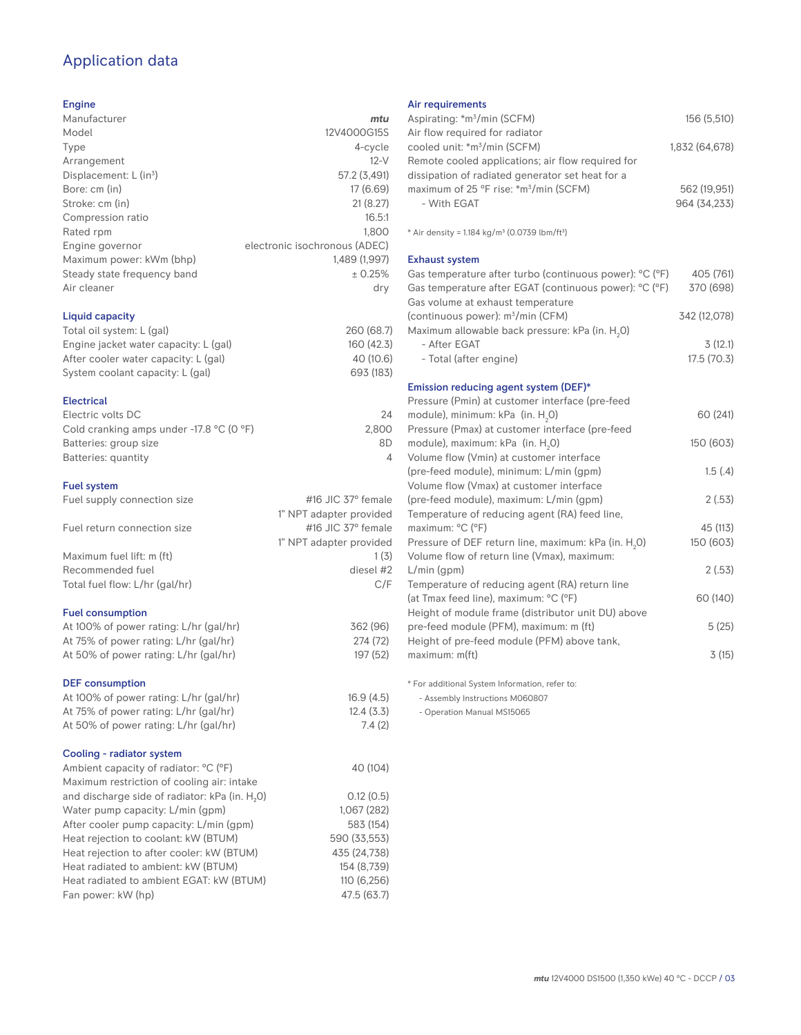# Application data

## Engine

| Manufacturer                         | mtu                           |
|--------------------------------------|-------------------------------|
| Model                                | 12V4000G15S                   |
| Type                                 | 4-cycle                       |
| Arrangement                          | $12-V$                        |
| Displacement: $L$ (in <sup>3</sup> ) | 57.2 (3,491)                  |
| Bore: cm (in)                        | 17(6.69)                      |
| Stroke: cm (in)                      | 21(8.27)                      |
| Compression ratio                    | 16.5:1                        |
| Rated rpm                            | 1.800                         |
| Engine governor                      | electronic isochronous (ADEC) |
| Maximum power: kWm (bhp)             | 1.489 (1.997)                 |
| Steady state frequency band          | ± 0.25%                       |
| Air cleaner                          | dry                           |
|                                      |                               |

## Liquid capacity

| 260 (68.7) |
|------------|
| 160(42.3)  |
| 40(10.6)   |
| 693 (183)  |
|            |

#### Electrical

| Electric volts DC                                            | 24    |
|--------------------------------------------------------------|-------|
| Cold cranking amps under -17.8 $^{\circ}$ C (O $^{\circ}$ F) | 2.800 |
| Batteries: group size                                        | 8D    |
| Batteries: quantity                                          |       |
|                                                              |       |

## Fuel system

| Fuel supply connection size    | $\#$ 16 JIC 37 $\degree$ female |
|--------------------------------|---------------------------------|
|                                |                                 |
|                                | 1" NPT adapter provided         |
| Fuel return connection size    | #16 JIC $37^\circ$ female       |
|                                | 1" NPT adapter provided         |
| Maximum fuel lift: m (ft)      | 1(3)                            |
| Recommended fuel               | diesel #2                       |
| Total fuel flow: L/hr (gal/hr) | C/F                             |
|                                |                                 |

## Fuel consumption

| At 100% of power rating: L/hr (gal/hr) |  |
|----------------------------------------|--|
| At 75% of power rating: L/hr (gal/hr)  |  |
| At 50% of power rating: L/hr (gal/hr)  |  |

## DEF consumption

| At 100% of power rating: L/hr (gal/hr)<br>At 75% of power rating: L/hr (gal/hr) | 16.9(4.5)<br>12.4(3.3) |
|---------------------------------------------------------------------------------|------------------------|
| At 50% of power rating: L/hr (gal/hr)                                           | 7.4(2)                 |
| Cooling - radiator system                                                       |                        |
| Ambient capacity of radiator: °C (°F)                                           | 40 (104)               |
| Maximum restriction of cooling air: intake                                      |                        |
| and discharge side of radiator: kPa (in. H <sub>2</sub> O)                      | 0.12(0.5)              |
| Water pump capacity: L/min (gpm)                                                | 1,067 (282)            |
| After cooler pump capacity: L/min (qpm)                                         | 583 (154)              |
| Heat rejection to coolant: kW (BTUM)                                            | 590 (33.553)           |
| Heat rejection to after cooler: kW (BTUM)                                       | 435 (24.738)           |
| Heat radiated to ambient: kW (BTUM)                                             | 154 (8.739)            |
| Heat radiated to ambient EGAT: kW (BTUM)                                        | 110 (6.256)            |

Fan power: kW (hp) 47.5 (63.7)

## Air requirements

| Aspirating: *m <sup>3</sup> /min (SCFM)                                    | 156 (5,510)    |
|----------------------------------------------------------------------------|----------------|
| Air flow required for radiator<br>cooled unit: *m <sup>3</sup> /min (SCFM) | 1,832 (64,678) |
| Remote cooled applications; air flow required for                          |                |
| dissipation of radiated generator set heat for a                           |                |
| maximum of 25 °F rise: *m <sup>3</sup> /min (SCFM)                         | 562 (19,951)   |
| - With FGAT                                                                | 964 (34,233)   |
|                                                                            |                |
| * Air density = 1.184 kg/m <sup>3</sup> (0.0739 lbm/ft <sup>3</sup> )      |                |
| <b>Exhaust system</b>                                                      |                |
| Gas temperature after turbo (continuous power): °C (°F)                    | 405 (761)      |
| Gas temperature after EGAT (continuous power): °C (°F)                     | 370 (698)      |
| Gas volume at exhaust temperature                                          |                |
| (continuous power): m <sup>3</sup> /min (CFM)                              | 342 (12,078)   |
| Maximum allowable back pressure: kPa (in. H <sub>2</sub> 0)                |                |
| - After EGAT                                                               | 3(12.1)        |
| - Total (after engine)                                                     | 17.5(70.3)     |
| Emission reducing agent system (DEF)*                                      |                |
| Pressure (Pmin) at customer interface (pre-feed                            |                |
| module), minimum: kPa (in. H <sub>2</sub> O)                               | 60 (241)       |
| Pressure (Pmax) at customer interface (pre-feed                            |                |
| module), maximum: kPa (in. H <sub>2</sub> O)                               | 150 (603)      |
| Volume flow (Vmin) at customer interface                                   |                |
| (pre-feed module), minimum: L/min (gpm)                                    | 1.5(4)         |
| Volume flow (Vmax) at customer interface                                   |                |
| (pre-feed module), maximum: L/min (gpm)                                    | 2(.53)         |
| Temperature of reducing agent (RA) feed line,                              |                |
| maximum: °C (°F)                                                           | 45 (113)       |
| Pressure of DEF return line, maximum: kPa (in. H <sub>2</sub> 0)           | 150 (603)      |
| Volume flow of return line (Vmax), maximum:                                |                |
| $L/min$ (gpm)                                                              | 2(.53)         |
| Temperature of reducing agent (RA) return line                             |                |
| (at Tmax feed line), maximum: °C (°F)                                      | 60 (140)       |
| Height of module frame (distributor unit DU) above                         |                |
| pre-feed module (PFM), maximum: m (ft)                                     | 5(25)          |
| Height of pre-feed module (PFM) above tank,                                |                |
| maximum: m(ft)                                                             | 3(15)          |

\* For additional System Information, refer to:

- Assembly Instructions M060807

- Operation Manual MS15065

362 (96) 274 (72) 197 (52)